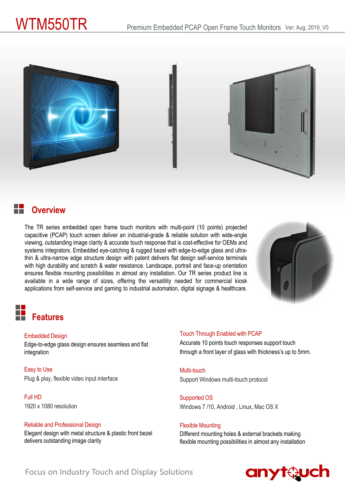



### **Overview**

The TR series embedded open frame touch monitors with multi-point (10 points) projected capacitive (PCAP) touch screen deliver an industrial-grade & reliable solution with wide-angle viewing, outstanding image clarity & accurate touch response that is cost-effective for OEMs and systems integrators. Embedded eye-catching & rugged bezel with edge-to-edge glass and ultrathin & ultra-narrow edge structure design with patent delivers flat design self-service terminals with high durability and scratch & water resistance. Landscape, portrait and face-up orientation ensures flexible mounting possibilities in almost any installation. Our TR series product line is available in a wide range of sizes, offering the versatility needed for commercial kiosk applications from self-service and gaming to industrial automation, digital signage & healthcare.



# **Features**

### Embedded Design

Edge-to-edge glass design ensures seamless and flat integration

Easy to Use Plug & play, flexible video input interface

Full HD 1920 x 1080 resolution

### Reliable and Professional Design

Elegant design with metal structure & plastic front bezel delivers outstanding image clarity

### Touch Through Enabled with PCAP

Accurate 10 points touch responses support touch through a front layer of glass with thickness's up to 5mm.

Multi-touch Support Windows multi-touch protocol

Supported OS Windows 7 /10, Android , Linux, Mac OS X

### Flexible Mounting

Different mounting holes & external brackets making flexible mounting possibilities in almost any installation



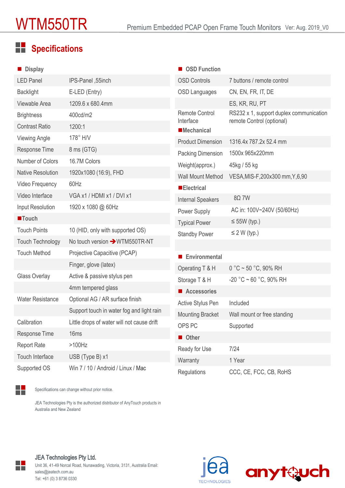# **Specifications**

| <b>Display</b>           |                                            | ■ OSD Function                                          |                                                                      |
|--------------------------|--------------------------------------------|---------------------------------------------------------|----------------------------------------------------------------------|
| <b>LED Panel</b>         | IPS-Panel, 55inch                          | <b>OSD Controls</b>                                     | 7 buttons / remote control                                           |
| <b>Backlight</b>         | E-LED (Entry)                              | <b>OSD Languages</b>                                    | CN, EN, FR, IT, DE                                                   |
| Viewable Area            | 1209.6 x 680.4mm                           |                                                         | ES, KR, RU, PT                                                       |
| <b>Brightness</b>        | 400cd/m2                                   | <b>Remote Control</b><br>Interface<br><b>Mechanical</b> | RS232 x 1, support duplex communication<br>remote Control (optional) |
| <b>Contrast Ratio</b>    | 1200:1                                     |                                                         |                                                                      |
| <b>Viewing Angle</b>     | 178° H/V                                   | <b>Product Dimension</b>                                | 1316.4x 787.2x 52.4 mm                                               |
| Response Time            | 8 ms (GTG)                                 | <b>Packing Dimension</b>                                | 1500x 965x220mm                                                      |
| Number of Colors         | 16.7M Colors                               | Weight(approx.)                                         | 45kg / 55 kg                                                         |
| <b>Native Resolution</b> | 1920x1080 (16:9), FHD                      | <b>Wall Mount Method</b>                                | VESA, MIS-F, 200x300 mm, Y, 6, 90                                    |
| Video Frequency          | 60Hz                                       | <b>Electrical</b>                                       |                                                                      |
| Video Interface          | VGA x1 / HDMI x1 / DVI x1                  | <b>Internal Speakers</b>                                | 80.7W                                                                |
| Input Resolution         | 1920 x 1080 @ 60Hz                         | Power Supply                                            | AC in: 100V~240V (50/60Hz)                                           |
| <b>Touch</b>             |                                            | <b>Typical Power</b>                                    | $\leq$ 55W (typ.)                                                    |
| <b>Touch Points</b>      | 10 (HID, only with supported OS)           | <b>Standby Power</b>                                    | $\leq$ 2 W (typ.)                                                    |
| <b>Touch Technology</b>  | No touch version → WTM550TR-NT             |                                                         |                                                                      |
| <b>Touch Method</b>      | Projective Capacitive (PCAP)               | Environmental                                           |                                                                      |
|                          | Finger, glove (latex)                      | Operating T & H                                         | $0 °C \sim 50 °C$ , 90% RH                                           |
| Glass Overlay            | Active & passive stylus pen                | Storage T & H                                           | $-20$ °C ~ 60 °C, 90% RH                                             |
|                          | 4mm tempered glass                         | Accessories                                             |                                                                      |
| <b>Water Resistance</b>  | Optional AG / AR surface finish            | Active Stylus Pen                                       | Included                                                             |
|                          | Support touch in water fog and light rain  | <b>Mounting Bracket</b>                                 | Wall mount or free standing                                          |
| Calibration              | Little drops of water will not cause drift | OPS PC                                                  | Supported                                                            |
| Response Time            | 16ms                                       | Other                                                   |                                                                      |
| <b>Report Rate</b>       | $>100$ Hz                                  | Ready for Use                                           | 7/24                                                                 |
| Touch Interface          | USB (Type B) x1                            | Warranty                                                | 1 Year                                                               |
| Supported OS             | Win 7 / 10 / Android / Linux / Mac         | Regulations                                             | CCC, CE, FCC, CB, RoHS                                               |

Specifications can change without prior notice.

H

₩

JEA Technologies Pty is the authorized distributor of AnyTouch products in Australia and New Zealand

### JEA Technologies Pty Ltd.

Unit 36, 41-49 Norcal Road, Nunawading, Victoria, 3131, Australia Email: sales@jeatech.com.au Tel: +61 (0) 3 8736 0330